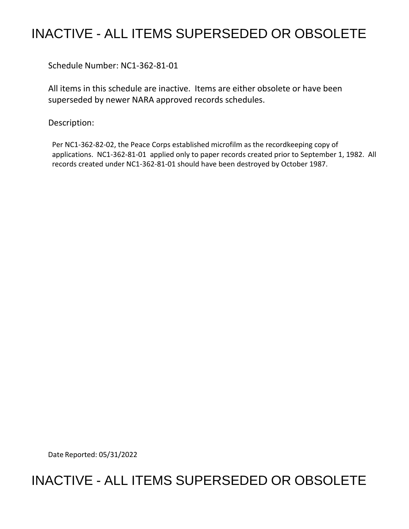## INACTIVE - ALL ITEMS SUPERSEDED OR OBSOLETE

Schedule Number: NC1-362-81-01

All items in this schedule are inactive. Items are either obsolete or have been superseded by newer NARA approved records schedules.

Description:

Per NC1-362-82-02, the Peace Corps established microfilm as the recordkeeping copy of applications. NC1-362-81-01 applied only to paper records created prior to September 1, 1982. All records created under NC1-362-81-01 should have been destroyed by October 1987.

Date Reported: 05/31/2022

## INACTIVE - ALL ITEMS SUPERSEDED OR OBSOLETE